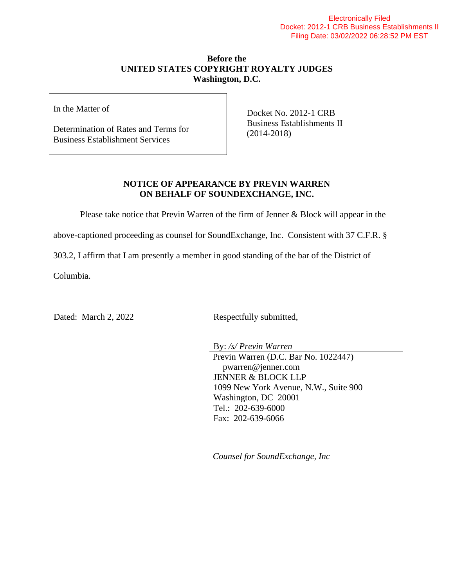## **Before the UNITED STATES COPYRIGHT ROYALTY JUDGES Washington, D.C.**

In the Matter of

Determination of Rates and Terms for Business Establishment Services

Docket No. 2012-1 CRB Business Establishments II (2014-2018)

## **NOTICE OF APPEARANCE BY PREVIN WARREN ON BEHALF OF SOUNDEXCHANGE, INC.**

Please take notice that Previn Warren of the firm of Jenner & Block will appear in the

above-captioned proceeding as counsel for SoundExchange, Inc. Consistent with 37 C.F.R. §

303.2, I affirm that I am presently a member in good standing of the bar of the District of

Columbia.

Dated: March 2, 2022 Respectfully submitted,

By: */s/ Previn Warren* Previn Warren (D.C. Bar No. 1022447) pwarren@jenner.com JENNER & BLOCK LLP 1099 New York Avenue, N.W., Suite 900 Washington, DC 20001 Tel.: 202-639-6000 Fax: 202-639-6066

*Counsel for SoundExchange, Inc*